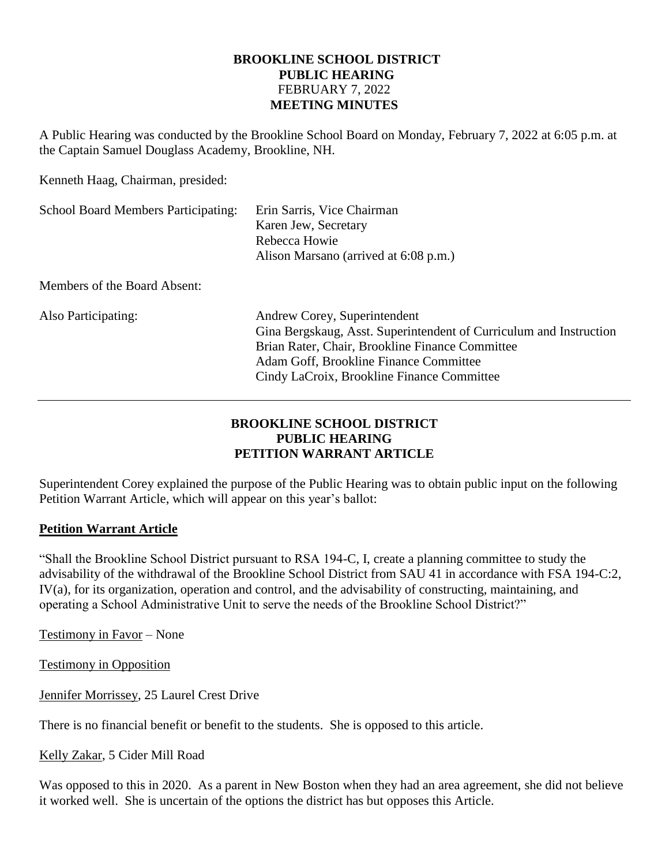## **BROOKLINE SCHOOL DISTRICT PUBLIC HEARING** FEBRUARY 7, 2022 **MEETING MINUTES**

A Public Hearing was conducted by the Brookline School Board on Monday, February 7, 2022 at 6:05 p.m. at the Captain Samuel Douglass Academy, Brookline, NH.

Kenneth Haag, Chairman, presided:

| <b>School Board Members Participating:</b> | Erin Sarris, Vice Chairman<br>Karen Jew, Secretary<br>Rebecca Howie<br>Alison Marsano (arrived at 6:08 p.m.)                                                                                                                                  |
|--------------------------------------------|-----------------------------------------------------------------------------------------------------------------------------------------------------------------------------------------------------------------------------------------------|
| Members of the Board Absent:               |                                                                                                                                                                                                                                               |
| Also Participating:                        | Andrew Corey, Superintendent<br>Gina Bergskaug, Asst. Superintendent of Curriculum and Instruction<br>Brian Rater, Chair, Brookline Finance Committee<br>Adam Goff, Brookline Finance Committee<br>Cindy LaCroix, Brookline Finance Committee |

# **BROOKLINE SCHOOL DISTRICT PUBLIC HEARING PETITION WARRANT ARTICLE**

Superintendent Corey explained the purpose of the Public Hearing was to obtain public input on the following Petition Warrant Article, which will appear on this year's ballot:

# **Petition Warrant Article**

"Shall the Brookline School District pursuant to RSA 194-C, I, create a planning committee to study the advisability of the withdrawal of the Brookline School District from SAU 41 in accordance with FSA 194-C:2, IV(a), for its organization, operation and control, and the advisability of constructing, maintaining, and operating a School Administrative Unit to serve the needs of the Brookline School District?"

Testimony in Favor – None

Testimony in Opposition

Jennifer Morrissey, 25 Laurel Crest Drive

There is no financial benefit or benefit to the students. She is opposed to this article.

Kelly Zakar, 5 Cider Mill Road

Was opposed to this in 2020. As a parent in New Boston when they had an area agreement, she did not believe it worked well. She is uncertain of the options the district has but opposes this Article.